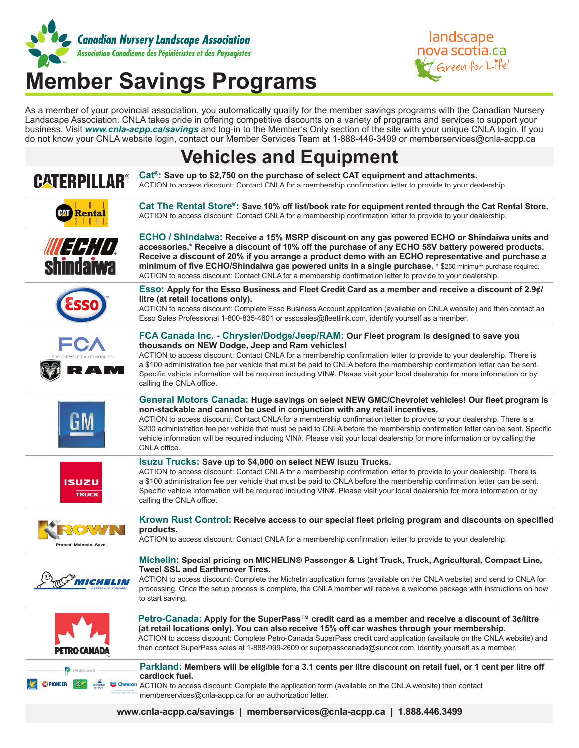

# **Member Savings Programs**

landscape nova scotia.ca Green for Life!

As a member of your provincial association, you automatically qualify for the member savings programs with the Canadian Nursery Landscape Association. CNLA takes pride in offering competitive discounts on a variety of programs and services to support your business. Visit *www.cnla-acpp.ca/savings* and log-in to the Member's Only section of the site with your unique CNLA login. If you do not know your CNLA website login, contact our Member Services Team at 1-888-446-3499 or memberservices@cnla-acpp.ca

### **Vehicles and Equipment**

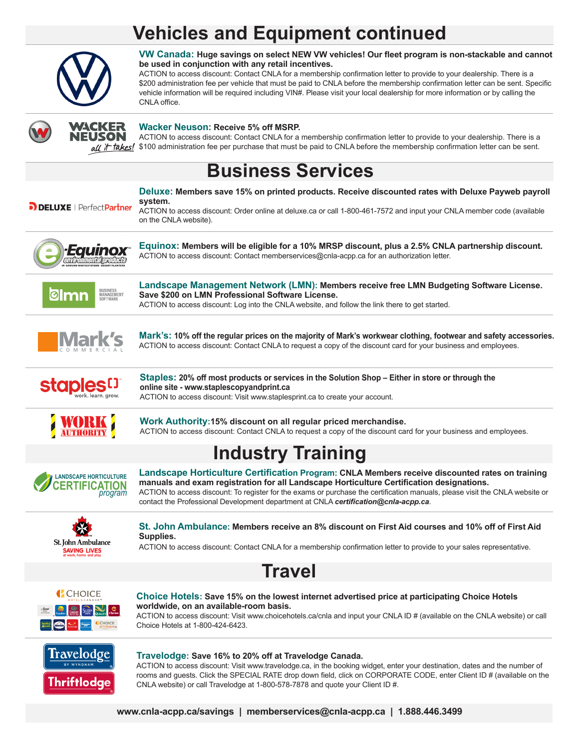## **Vehicles and Equipment continued**



**VW Canada: Huge savings on select NEW VW vehicles! Our fleet program is non-stackable and cannot be used in conjunction with any retail incentives.**

ACTION to access discount: Contact CNLA for a membership confirmation letter to provide to your dealership. There is a \$200 administration fee per vehicle that must be paid to CNLA before the membership confirmation letter can be sent. Specific vehicle information will be required including VIN#. Please visit your local dealership for more information or by calling the CNLA office.



#### **Wacker Neuson: Receive 5% off MSRP.**

ACTION to access discount: Contact CNLA for a membership confirmation letter to provide to your dealership. There is a  $\alpha U$  if takes! \$100 administration fee per purchase that must be paid to CNLA before the membership confirmation letter can be sent.

### **Business Services**



**Landscape Management Network (LMN): Members receive free LMN Budgeting Software License.** 

**Deluxe: Members save 15% on printed products. Receive discounted rates with Deluxe Payweb payroll** 



**Save \$200 on LMN Professional Software License.**  ACTION to access discount: Log into the CNLA website, and follow the link there to get started.



**Mark's: 10% off the regular prices on the majority of Mark's workwear clothing, footwear and safety accessories.**  ACTION to access discount: Contact CNLA to request a copy of the discount card for your business and employees.



**Staples: 20% off most products or services in the Solution Shop – Either in store or through the online site - www.staplescopyandprint.ca**  ACTION to access discount: Visit www.staplesprint.ca to create your account.



**Work Authority:15% discount on all regular priced merchandise.**  ACTION to access discount: Contact CNLA to request a copy of the discount card for your business and employees.

# **Industry Training**



**Landscape Horticulture Certification Program: CNLA Members receive discounted rates on training manuals and exam registration for all Landscape Horticulture Certification designations.**  ACTION to access discount: To register for the exams or purchase the certification manuals, please visit the CNLA website or contact the Professional Development department at CNLA *certification@cnla-acpp.ca*.



**St. John Ambulance: Members receive an 8% discount on First Aid courses and 10% off of First Aid Supplies.**

ACTION to access discount: Contact CNLA for a membership confirmation letter to provide to your sales representative.





#### **Choice Hotels: Save 15% on the lowest internet advertised price at participating Choice Hotels worldwide, on an available-room basis.**

ACTION to access discount: Visit www.choicehotels.ca/cnla and input your CNLA ID # (available on the CNLA website) or call Choice Hotels at 1-800-424-6423.



#### **Travelodge: Save 16% to 20% off at Travelodge Canada.**

ACTION to access discount: Visit www.travelodge.ca, in the booking widget, enter your destination, dates and the number of rooms and guests. Click the SPECIAL RATE drop down field, click on CORPORATE CODE, enter Client ID # (available on the CNLA website) or call Travelodge at 1-800-578-7878 and quote your Client ID #.